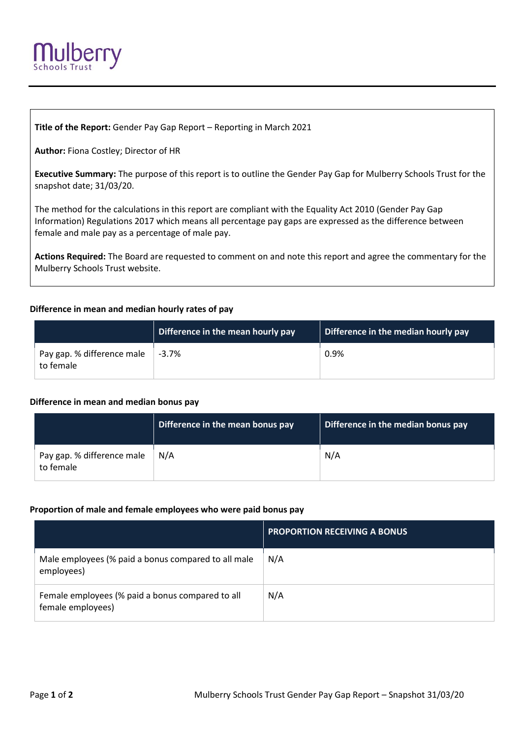

**Title of the Report:** Gender Pay Gap Report – Reporting in March 2021

**Author:** Fiona Costley; Director of HR

**Executive Summary:** The purpose of this report is to outline the Gender Pay Gap for Mulberry Schools Trust for the snapshot date; 31/03/20.

The method for the calculations in this report are compliant with the Equality Act 2010 (Gender Pay Gap Information) Regulations 2017 which means all percentage pay gaps are expressed as the difference between female and male pay as a percentage of male pay.

**Actions Required:** The Board are requested to comment on and note this report and agree the commentary for the Mulberry Schools Trust website.

### **Difference in mean and median hourly rates of pay**

|                                         | Difference in the mean hourly pay | Difference in the median hourly pay |
|-----------------------------------------|-----------------------------------|-------------------------------------|
| Pay gap. % difference male<br>to female | $-3.7\%$                          | 0.9%                                |

#### **Difference in mean and median bonus pay**

|                                         | Difference in the mean bonus pay | Difference in the median bonus pay |
|-----------------------------------------|----------------------------------|------------------------------------|
| Pay gap. % difference male<br>to female | N/A                              | N/A                                |

#### **Proportion of male and female employees who were paid bonus pay**

|                                                                       | <b>PROPORTION RECEIVING A BONUS</b> |
|-----------------------------------------------------------------------|-------------------------------------|
| Male employees (% paid a bonus compared to all male<br>employees)     | N/A                                 |
| Female employees (% paid a bonus compared to all<br>female employees) | N/A                                 |